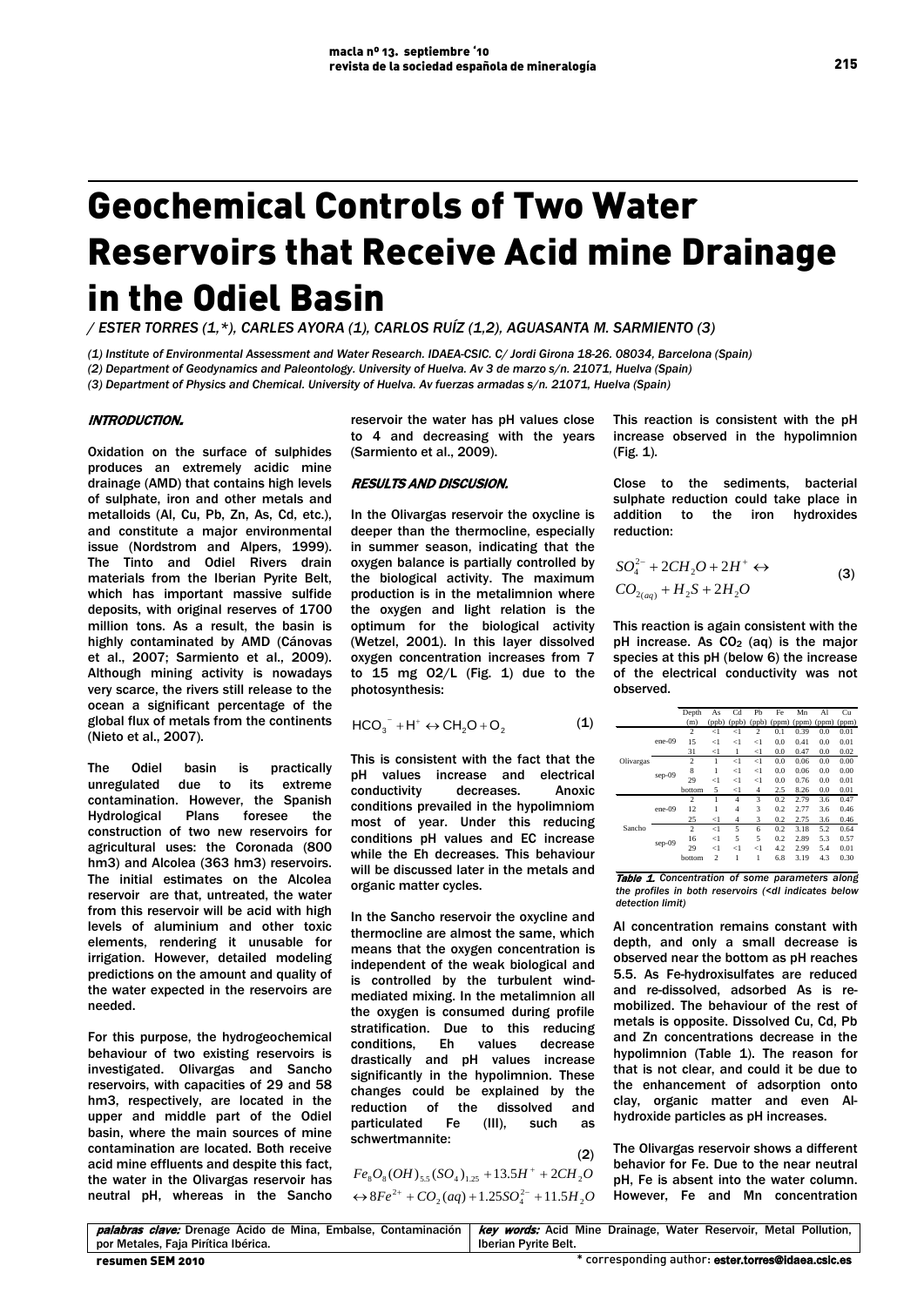# Geochemical Controls of Two Water Reservoirs that Receive Acid mine Drainage in the Odiel Basin

*/ ESTER TORRES (1,\*), CARLES AYORA (1), CARLOS RUÍZ (1,2), AGUASANTA M. SARMIENTO (3)*

*(1) Institute of Environmental Assessment and Water Research. IDAEA-CSIC. C/ Jordi Girona 18-26. 08034, Barcelona (Spain) (2) Department of Geodynamics and Paleontology. University of Huelva. Av 3 de marzo s/n. 21071, Huelva (Spain) (3) Department of Physics and Chemical. University of Huelva. Av fuerzas armadas s/n. 21071, Huelva (Spain)*

## INTRODUCTION.

Oxidation on the surface of sulphides produces an extremely acidic mine drainage (AMD) that contains high levels of sulphate, iron and other metals and metalloids (Al, Cu, Pb, Zn, As, Cd, etc.), and constitute a major environmental issue (Nordstrom and Alpers, 1999). The Tinto and Odiel Rivers drain materials from the Iberian Pyrite Belt, which has important massive sulfide deposits, with original reserves of 1700 million tons. As a result, the basin is highly contaminated by AMD (Cánovas et al., 2007; Sarmiento et al., 2009). Although mining activity is nowadays very scarce, the rivers still release to the ocean a significant percentage of the global flux of metals from the continents (Nieto et al., 2007).

The Odiel basin is practically unregulated due to its extreme contamination. However, the Spanish Hydrological Plans foresee the construction of two new reservoirs for agricultural uses: the Coronada (800 hm3) and Alcolea (363 hm3) reservoirs. The initial estimates on the Alcolea reservoir are that, untreated, the water from this reservoir will be acid with high levels of aluminium and other toxic elements, rendering it unusable for irrigation. However, detailed modeling predictions on the amount and quality of the water expected in the reservoirs are needed.

For this purpose, the hydrogeochemical behaviour of two existing reservoirs is investigated. Olivargas and Sancho reservoirs, with capacities of 29 and 58 hm3, respectively, are located in the upper and middle part of the Odiel basin, where the main sources of mine contamination are located. Both receive acid mine effluents and despite this fact, the water in the Olivargas reservoir has neutral pH, whereas in the Sancho

reservoir the water has pH values close to 4 and decreasing with the years (Sarmiento et al., 2009).

## RESULTS AND DISCUSION.

In the Olivargas reservoir the oxycline is deeper than the thermocline, especially in summer season, indicating that the oxygen balance is partially controlled by the biological activity. The maximum production is in the metalimnion where the oxygen and light relation is the optimum for the biological activity (Wetzel, 2001). In this layer dissolved oxygen concentration increases from 7 to  $15$  mg  $02/L$  (Fig. 1) due to the photosynthesis:

$$
HCO_3^- + H^+ \leftrightarrow CH_2O + O_2 \tag{1}
$$

This is consistent with the fact that the pH values increase and electrical conductivity decreases. Anoxic conditions prevailed in the hypolimniom most of year. Under this reducing conditions pH values and EC increase while the Eh decreases. This behaviour will be discussed later in the metals and organic matter cycles.

In the Sancho reservoir the oxycline and thermocline are almost the same, which means that the oxygen concentration is independent of the weak biological and is controlled by the turbulent windmediated mixing. In the metalimnion all the oxygen is consumed during profile stratification. Due to this reducing conditions, Eh values decrease drastically and pH values increase significantly in the hypolimnion. These changes could be explained by the reduction of the dissolved and particulated Fe (III), such as schwertmannite:

 $(2)$  $\leftrightarrow$   $8Fe^{2+}$  +  $CO_2(aq)$  + 1.25 $SO_4^{2-}$  + 11.5 $H_2O$  $Fe_8O_8(OH)_{5.5}(SO_4)_{1.25}$  + 13.5H<sup>+</sup> + 2CH<sub>2</sub>O

This reaction is consistent with the pH increase observed in the hypolimnion (Fig. 1).

Close to the sediments, bacterial sulphate reduction could take place in addition to the iron hydroxides reduction:

$$
SO_4^{2-} + 2CH_2O + 2H^+ \leftrightarrow
$$
  
\n
$$
CO_{2(aq)} + H_2S + 2H_2O
$$
\n(3)

This reaction is again consistent with the pH increase. As  $CO<sub>2</sub>$  (aq) is the major species at this pH (below 6) the increase of the electrical conductivity was not observed.

|           |        | Depth          | As                       | Cd             | Pb    | Fe                                  | Mn   | Al  | Cu   |
|-----------|--------|----------------|--------------------------|----------------|-------|-------------------------------------|------|-----|------|
|           |        | (m)            | (ppb)                    |                |       | (ppb) (ppb) (ppm) (ppm) (ppm) (ppm) |      |     |      |
| Olivargas | ene-09 | 2              | $<$ 1                    | $\leq$ 1       | 2     | 0.1                                 | 0.39 | 0.0 | 0.01 |
|           |        | 15             | $<$ 1                    | $\leq$ 1       | $<$ 1 | 0.0                                 | 0.41 | 0.0 | 0.01 |
|           |        | 31             | $<$ 1                    | 1              | <1    | 0.0                                 | 0.47 | 0.0 | 0.02 |
|           | sep-09 | $\overline{c}$ | 1                        | $\leq$ 1       | <1    | 0.0                                 | 0.06 | 0.0 | 0.00 |
|           |        | 8              | 1                        | $\leq$ 1       | <1    | 0.0                                 | 0.06 | 0.0 | 0.00 |
|           |        | 29             | $<$ 1                    | $<$ 1          | $<$ 1 | 0.0                                 | 0.76 | 0.0 | 0.01 |
|           |        | bottom         | 5                        | <1             | 4     | 2.5                                 | 8.26 | 0.0 | 0.01 |
| Sancho    | ene-09 | 2              | 1                        | 4              | 3     | 0.2                                 | 2.79 | 3.6 | 0.47 |
|           |        | 12             | 1                        | 4              | 3     | 0.2                                 | 2.77 | 3.6 | 0.46 |
|           |        | 25             | $\leq$                   | $\overline{4}$ | 3     | 0.2                                 | 2.75 | 3.6 | 0.46 |
|           | sep-09 | $\overline{c}$ | $\leq$                   | 5              | 6     | 0.2                                 | 3.18 | 5.2 | 0.64 |
|           |        | 16             | $\leq$ 1                 | 5              | 5     | 0.2                                 | 2.89 | 5.3 | 0.57 |
|           |        | 29             | $\leq$                   | $<$ 1          | $<$ 1 | 4.2                                 | 2.99 | 5.4 | 0.01 |
|           |        | bottom         | $\overline{\mathcal{L}}$ | ı              | 1     | 6.8                                 | 3.19 | 4.3 | 0.30 |

Table 1. *Concentration of some parameters along the profiles in both reservoirs (<dl indicates below detection limit)*

Al concentration remains constant with depth, and only a small decrease is observed near the bottom as pH reaches 5.5. As Fe-hydroxisulfates are reduced and re-dissolved, adsorbed As is remobilized. The behaviour of the rest of metals is opposite. Dissolved Cu, Cd, Pb and Zn concentrations decrease in the hypolimnion (Table 1). The reason for that is not clear, and could it be due to the enhancement of adsorption onto clay, organic matter and even Alhydroxide particles as pH increases.

The Olivargas reservoir shows a different behavior for Fe. Due to the near neutral pH, Fe is absent into the water column. However, Fe and Mn concentration

|                                     | palabras clave: Drenage Ácido de Mina, Embalse, Contaminación   key words: Acid Mine Drainage, Water Reservoir, Metal Pollution, |
|-------------------------------------|----------------------------------------------------------------------------------------------------------------------------------|
| por Metales. Faia Pirítica Ibérica. | Iberian Pyrite Belt.                                                                                                             |
| resumen SEM 2010                    | * corresponding author: ester.torres@idaea.csic.es                                                                               |